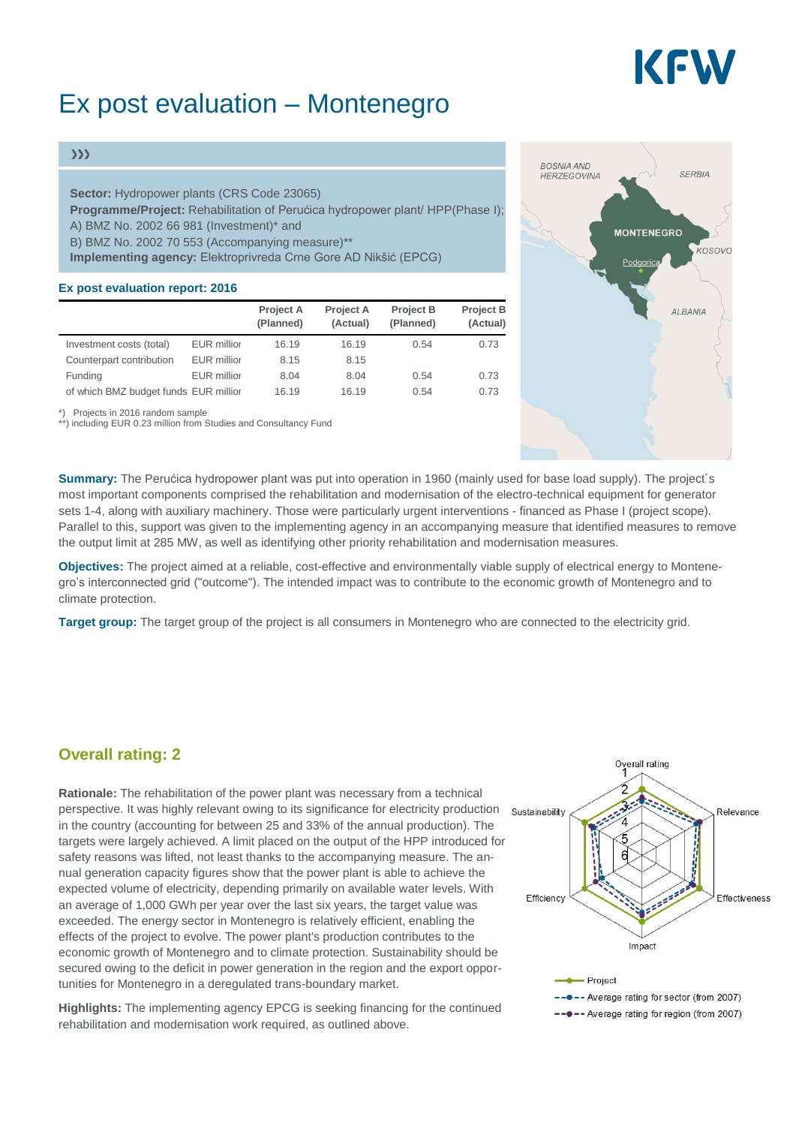# KEW

# Ex post evaluation – Montenegro

#### $\gg$

**Sector:** Hydropower plants (CRS Code 23065) **Programme/Project:** Rehabilitation of Perućica hydropower plant/ HPP(Phase I); A) BMZ No. 2002 66 981 (Investment)\* and B) BMZ No. 2002 70 553 (Accompanying measure)\*\* **Implementing agency:** Elektroprivreda Crne Gore AD Nikšić (EPCG)

#### **Ex post evaluation report: 2016**

|                                       |                    | <b>Project A</b><br>(Planned) | <b>Project A</b><br>(Actual) | <b>Project B</b><br>(Planned) | <b>Project B</b><br>(Actual) |
|---------------------------------------|--------------------|-------------------------------|------------------------------|-------------------------------|------------------------------|
| Investment costs (total)              | <b>EUR</b> millior | 16.19                         | 16.19                        | 0.54                          | 0.73                         |
| Counterpart contribution              | <b>EUR</b> millior | 8.15                          | 8.15                         |                               |                              |
| Funding                               | <b>EUR</b> millior | 8.04                          | 8.04                         | 0.54                          | 0.73                         |
| of which BMZ budget funds EUR millior |                    | 16.19                         | 16.19                        | 0.54                          | 0.73                         |

\*) Projects in 2016 random sample

\*\*) including EUR 0.23 million from Studies and Consultancy Fund

**BOSNIA AND** SERRIA **HERZEGOVINA MONTENEGRO**  $k$  $\alpha$ sovo Podgo ALBANIA

**Summary:** The Perućica hydropower plant was put into operation in 1960 (mainly used for base load supply). The project´s most important components comprised the rehabilitation and modernisation of the electro-technical equipment for generator sets 1-4, along with auxiliary machinery. Those were particularly urgent interventions - financed as Phase I (project scope). Parallel to this, support was given to the implementing agency in an accompanying measure that identified measures to remove the output limit at 285 MW, as well as identifying other priority rehabilitation and modernisation measures.

**Objectives:** The project aimed at a reliable, cost-effective and environmentally viable supply of electrical energy to Montenegro's interconnected grid ("outcome"). The intended impact was to contribute to the economic growth of Montenegro and to climate protection.

**Target group:** The target group of the project is all consumers in Montenegro who are connected to the electricity grid.

### **Overall rating: 2**

**Rationale:** The rehabilitation of the power plant was necessary from a technical perspective. It was highly relevant owing to its significance for electricity production in the country (accounting for between 25 and 33% of the annual production). The targets were largely achieved. A limit placed on the output of the HPP introduced for safety reasons was lifted, not least thanks to the accompanying measure. The annual generation capacity figures show that the power plant is able to achieve the expected volume of electricity, depending primarily on available water levels. With an average of 1,000 GWh per year over the last six years, the target value was exceeded. The energy sector in Montenegro is relatively efficient, enabling the effects of the project to evolve. The power plant's production contributes to the economic growth of Montenegro and to climate protection. Sustainability should be secured owing to the deficit in power generation in the region and the export opportunities for Montenegro in a deregulated trans-boundary market.

**Highlights:** The implementing agency EPCG is seeking financing for the continued rehabilitation and modernisation work required, as outlined above.

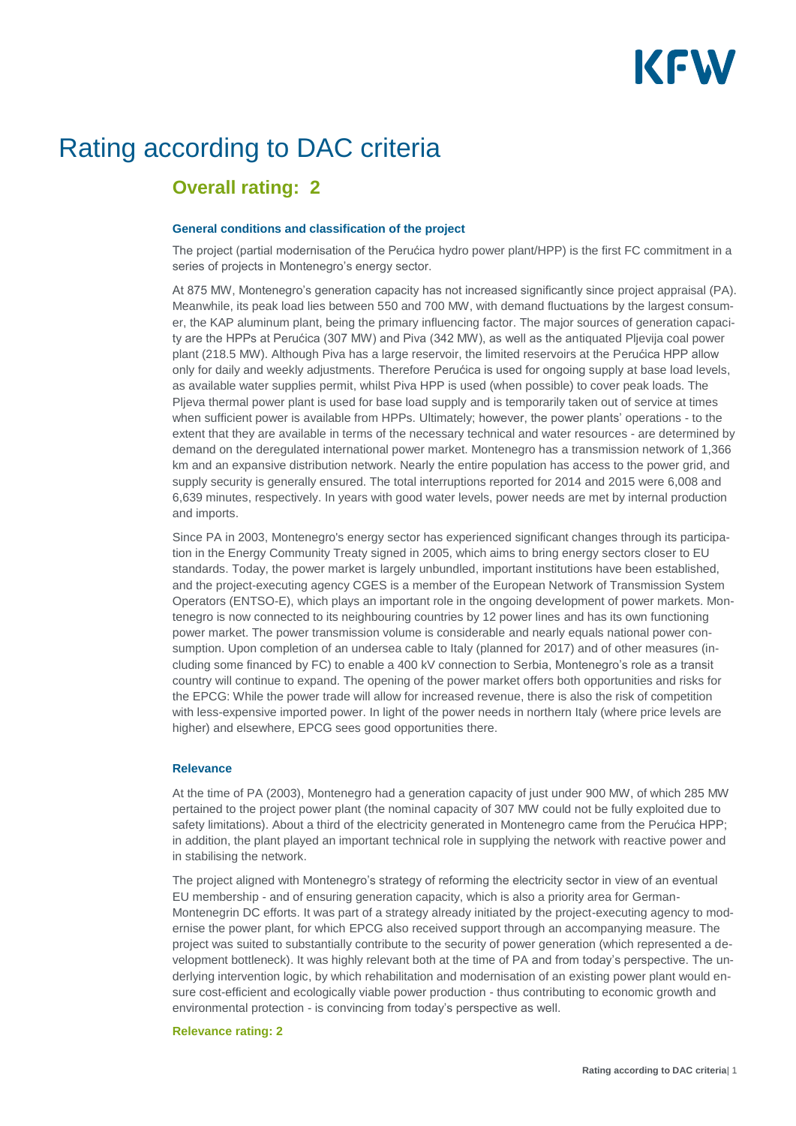

## Rating according to DAC criteria

### **Overall rating: 2**

#### **General conditions and classification of the project**

The project (partial modernisation of the Perućica hydro power plant/HPP) is the first FC commitment in a series of projects in Montenegro's energy sector.

At 875 MW, Montenegro's generation capacity has not increased significantly since project appraisal (PA). Meanwhile, its peak load lies between 550 and 700 MW, with demand fluctuations by the largest consumer, the KAP aluminum plant, being the primary influencing factor. The major sources of generation capacity are the HPPs at Perućica (307 MW) and Piva (342 MW), as well as the antiquated Pljevija coal power plant (218.5 MW). Although Piva has a large reservoir, the limited reservoirs at the Perućica HPP allow only for daily and weekly adjustments. Therefore Perućica is used for ongoing supply at base load levels, as available water supplies permit, whilst Piva HPP is used (when possible) to cover peak loads. The Pljeva thermal power plant is used for base load supply and is temporarily taken out of service at times when sufficient power is available from HPPs. Ultimately; however, the power plants' operations - to the extent that they are available in terms of the necessary technical and water resources - are determined by demand on the deregulated international power market. Montenegro has a transmission network of 1,366 km and an expansive distribution network. Nearly the entire population has access to the power grid, and supply security is generally ensured. The total interruptions reported for 2014 and 2015 were 6,008 and 6,639 minutes, respectively. In years with good water levels, power needs are met by internal production and imports.

Since PA in 2003, Montenegro's energy sector has experienced significant changes through its participation in the Energy Community Treaty signed in 2005, which aims to bring energy sectors closer to EU standards. Today, the power market is largely unbundled, important institutions have been established, and the project-executing agency CGES is a member of the European Network of Transmission System Operators (ENTSO-E), which plays an important role in the ongoing development of power markets. Montenegro is now connected to its neighbouring countries by 12 power lines and has its own functioning power market. The power transmission volume is considerable and nearly equals national power consumption. Upon completion of an undersea cable to Italy (planned for 2017) and of other measures (including some financed by FC) to enable a 400 kV connection to Serbia, Montenegro's role as a transit country will continue to expand. The opening of the power market offers both opportunities and risks for the EPCG: While the power trade will allow for increased revenue, there is also the risk of competition with less-expensive imported power. In light of the power needs in northern Italy (where price levels are higher) and elsewhere, EPCG sees good opportunities there.

#### **Relevance**

At the time of PA (2003), Montenegro had a generation capacity of just under 900 MW, of which 285 MW pertained to the project power plant (the nominal capacity of 307 MW could not be fully exploited due to safety limitations). About a third of the electricity generated in Montenegro came from the Perućica HPP; in addition, the plant played an important technical role in supplying the network with reactive power and in stabilising the network.

The project aligned with Montenegro's strategy of reforming the electricity sector in view of an eventual EU membership - and of ensuring generation capacity, which is also a priority area for German-Montenegrin DC efforts. It was part of a strategy already initiated by the project-executing agency to modernise the power plant, for which EPCG also received support through an accompanying measure. The project was suited to substantially contribute to the security of power generation (which represented a development bottleneck). It was highly relevant both at the time of PA and from today's perspective. The underlying intervention logic, by which rehabilitation and modernisation of an existing power plant would ensure cost-efficient and ecologically viable power production - thus contributing to economic growth and environmental protection - is convincing from today's perspective as well.

#### **Relevance rating: 2**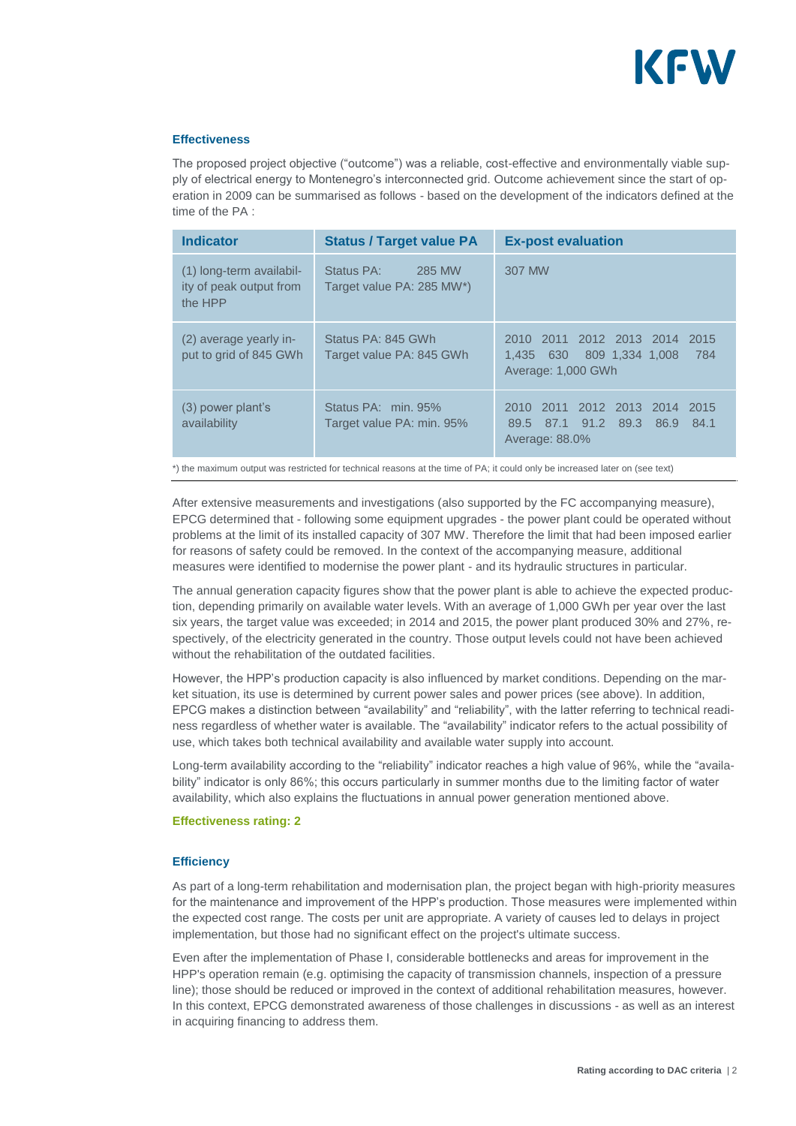

#### **Effectiveness**

The proposed project objective ("outcome") was a reliable, cost-effective and environmentally viable supply of electrical energy to Montenegro's interconnected grid. Outcome achievement since the start of operation in 2009 can be summarised as follows - based on the development of the indicators defined at the time of the PA :

| <b>Indicator</b>                                               | <b>Status / Target value PA</b>                   | <b>Ex-post evaluation</b>                                                                     |
|----------------------------------------------------------------|---------------------------------------------------|-----------------------------------------------------------------------------------------------|
| (1) long-term availabil-<br>ity of peak output from<br>the HPP | Status PA:<br>285 MW<br>Target value PA: 285 MW*) | 307 MW                                                                                        |
| (2) average yearly in-<br>put to grid of 845 GWh               | Status PA: 845 GWh<br>Target value PA: 845 GWh    | 2010 2011 2012 2013 2014<br>2015<br>630<br>809 1.334 1.008 784<br>1.435<br>Average: 1,000 GWh |
| (3) power plant's<br>availability                              | Status PA: min. 95%<br>Target value PA: min. 95%  | 2010 2011 2012 2013 2014 2015<br>89.5 87.1 91.2 89.3<br>86.9 84.1<br>Average: 88.0%           |

\*) the maximum output was restricted for technical reasons at the time of PA; it could only be increased later on (see text)

After extensive measurements and investigations (also supported by the FC accompanying measure), EPCG determined that - following some equipment upgrades - the power plant could be operated without problems at the limit of its installed capacity of 307 MW. Therefore the limit that had been imposed earlier for reasons of safety could be removed. In the context of the accompanying measure, additional measures were identified to modernise the power plant - and its hydraulic structures in particular.

The annual generation capacity figures show that the power plant is able to achieve the expected production, depending primarily on available water levels. With an average of 1,000 GWh per year over the last six years, the target value was exceeded; in 2014 and 2015, the power plant produced 30% and 27%, respectively, of the electricity generated in the country. Those output levels could not have been achieved without the rehabilitation of the outdated facilities.

However, the HPP's production capacity is also influenced by market conditions. Depending on the market situation, its use is determined by current power sales and power prices (see above). In addition, EPCG makes a distinction between "availability" and "reliability", with the latter referring to technical readiness regardless of whether water is available. The "availability" indicator refers to the actual possibility of use, which takes both technical availability and available water supply into account.

Long-term availability according to the "reliability" indicator reaches a high value of 96%, while the "availability" indicator is only 86%; this occurs particularly in summer months due to the limiting factor of water availability, which also explains the fluctuations in annual power generation mentioned above.

#### **Effectiveness rating: 2**

#### **Efficiency**

As part of a long-term rehabilitation and modernisation plan, the project began with high-priority measures for the maintenance and improvement of the HPP's production. Those measures were implemented within the expected cost range. The costs per unit are appropriate. A variety of causes led to delays in project implementation, but those had no significant effect on the project's ultimate success.

Even after the implementation of Phase I, considerable bottlenecks and areas for improvement in the HPP's operation remain (e.g. optimising the capacity of transmission channels, inspection of a pressure line); those should be reduced or improved in the context of additional rehabilitation measures, however. In this context, EPCG demonstrated awareness of those challenges in discussions - as well as an interest in acquiring financing to address them.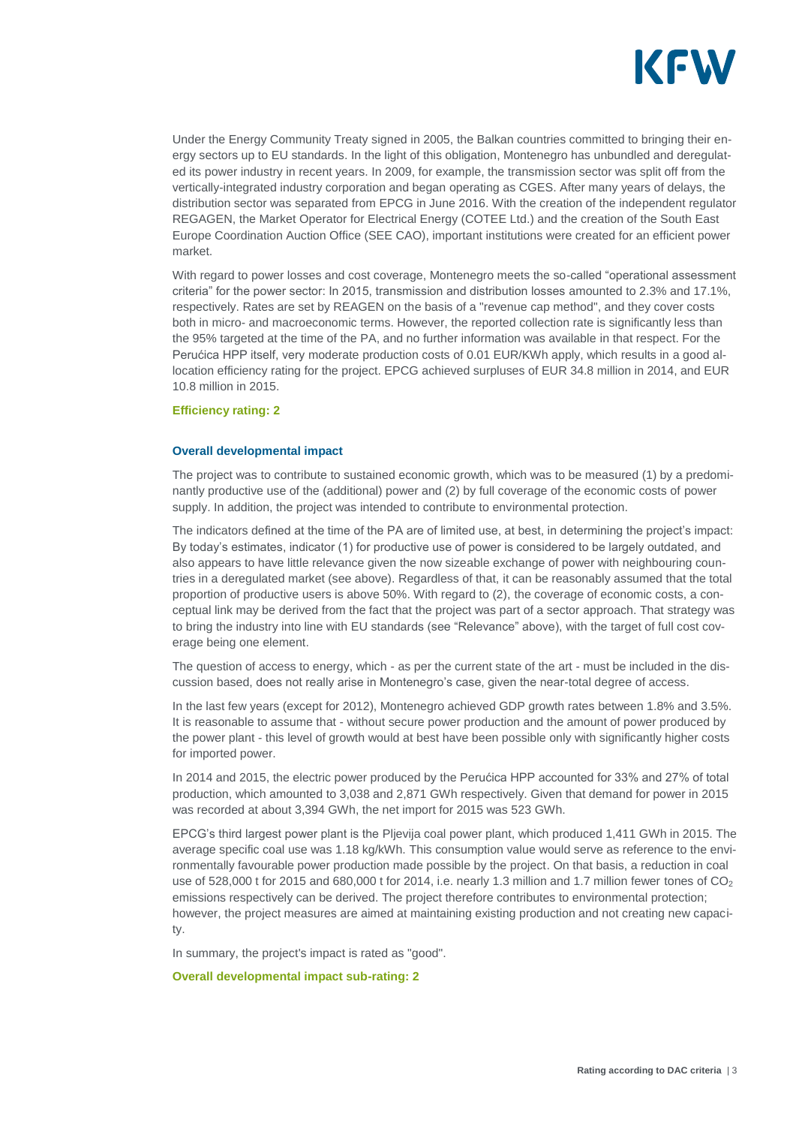

Under the Energy Community Treaty signed in 2005, the Balkan countries committed to bringing their energy sectors up to EU standards. In the light of this obligation, Montenegro has unbundled and deregulated its power industry in recent years. In 2009, for example, the transmission sector was split off from the vertically-integrated industry corporation and began operating as CGES. After many years of delays, the distribution sector was separated from EPCG in June 2016. With the creation of the independent regulator REGAGEN, the Market Operator for Electrical Energy (COTEE Ltd.) and the creation of the South East Europe Coordination Auction Office (SEE CAO), important institutions were created for an efficient power market.

With regard to power losses and cost coverage, Montenegro meets the so-called "operational assessment criteria" for the power sector: In 2015, transmission and distribution losses amounted to 2.3% and 17.1%, respectively. Rates are set by REAGEN on the basis of a "revenue cap method", and they cover costs both in micro- and macroeconomic terms. However, the reported collection rate is significantly less than the 95% targeted at the time of the PA, and no further information was available in that respect. For the Perućica HPP itself, very moderate production costs of 0.01 EUR/KWh apply, which results in a good allocation efficiency rating for the project. EPCG achieved surpluses of EUR 34.8 million in 2014, and EUR 10.8 million in 2015.

#### **Efficiency rating: 2**

#### **Overall developmental impact**

The project was to contribute to sustained economic growth, which was to be measured (1) by a predominantly productive use of the (additional) power and (2) by full coverage of the economic costs of power supply. In addition, the project was intended to contribute to environmental protection.

The indicators defined at the time of the PA are of limited use, at best, in determining the project's impact: By today's estimates, indicator (1) for productive use of power is considered to be largely outdated, and also appears to have little relevance given the now sizeable exchange of power with neighbouring countries in a deregulated market (see above). Regardless of that, it can be reasonably assumed that the total proportion of productive users is above 50%. With regard to (2), the coverage of economic costs, a conceptual link may be derived from the fact that the project was part of a sector approach. That strategy was to bring the industry into line with EU standards (see "Relevance" above), with the target of full cost coverage being one element.

The question of access to energy, which - as per the current state of the art - must be included in the discussion based, does not really arise in Montenegro's case, given the near-total degree of access.

In the last few years (except for 2012), Montenegro achieved GDP growth rates between 1.8% and 3.5%. It is reasonable to assume that - without secure power production and the amount of power produced by the power plant - this level of growth would at best have been possible only with significantly higher costs for imported power.

In 2014 and 2015, the electric power produced by the Perućica HPP accounted for 33% and 27% of total production, which amounted to 3,038 and 2,871 GWh respectively. Given that demand for power in 2015 was recorded at about 3,394 GWh, the net import for 2015 was 523 GWh.

EPCG's third largest power plant is the Pljevija coal power plant, which produced 1,411 GWh in 2015. The average specific coal use was 1.18 kg/kWh. This consumption value would serve as reference to the environmentally favourable power production made possible by the project. On that basis, a reduction in coal use of 528,000 t for 2015 and 680,000 t for 2014, i.e. nearly 1.3 million and 1.7 million fewer tones of  $CO<sub>2</sub>$ emissions respectively can be derived. The project therefore contributes to environmental protection; however, the project measures are aimed at maintaining existing production and not creating new capacity.

In summary, the project's impact is rated as "good".

**Overall developmental impact sub-rating: 2**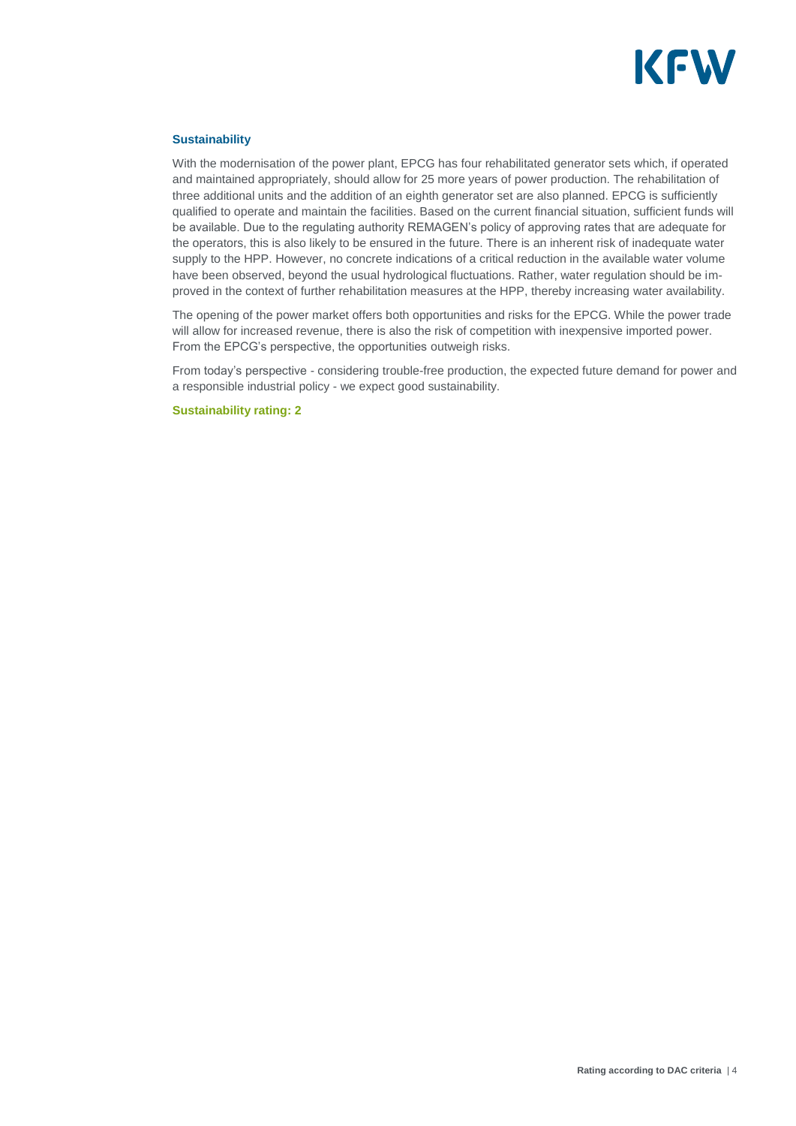

#### **Sustainability**

With the modernisation of the power plant, EPCG has four rehabilitated generator sets which, if operated and maintained appropriately, should allow for 25 more years of power production. The rehabilitation of three additional units and the addition of an eighth generator set are also planned. EPCG is sufficiently qualified to operate and maintain the facilities. Based on the current financial situation, sufficient funds will be available. Due to the regulating authority REMAGEN's policy of approving rates that are adequate for the operators, this is also likely to be ensured in the future. There is an inherent risk of inadequate water supply to the HPP. However, no concrete indications of a critical reduction in the available water volume have been observed, beyond the usual hydrological fluctuations. Rather, water regulation should be improved in the context of further rehabilitation measures at the HPP, thereby increasing water availability.

The opening of the power market offers both opportunities and risks for the EPCG. While the power trade will allow for increased revenue, there is also the risk of competition with inexpensive imported power. From the EPCG's perspective, the opportunities outweigh risks.

From today's perspective - considering trouble-free production, the expected future demand for power and a responsible industrial policy - we expect good sustainability.

**Sustainability rating: 2**